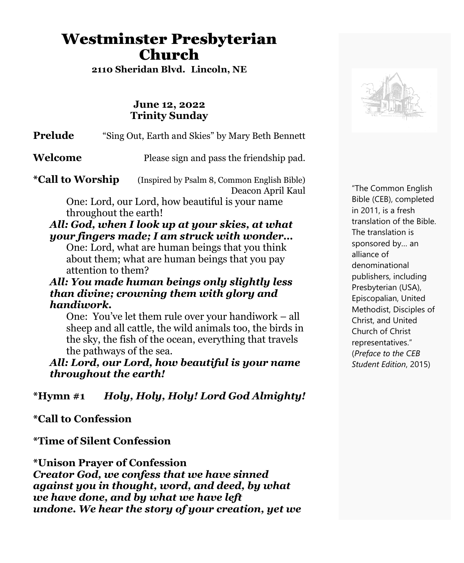# Westminster Presbyterian Church

**2110 Sheridan Blvd. Lincoln, NE**

#### **June 12, 2022 Trinity Sunday**

**Prelude** "Sing Out, Earth and Skies" by Mary Beth Bennett

**Welcome** Please sign and pass the friendship pad.

**\*Call to Worship** (Inspired by Psalm 8, Common English Bible) Deacon April Kaul

> One: Lord, our Lord, how beautiful is your name throughout the earth!

#### *All: God, when I look up at your skies, at what your fingers made; I am struck with wonder…*

One: Lord, what are human beings that you think about them; what are human beings that you pay attention to them?

#### *All: You made human beings only slightly less than divine; crowning them with glory and handiwork.*

One: You've let them rule over your handiwork – all sheep and all cattle, the wild animals too, the birds in the sky, the fish of the ocean, everything that travels the pathways of the sea.

*All: Lord, our Lord, how beautiful is your name throughout the earth!*

**\*Hymn #1** *Holy, Holy, Holy! Lord God Almighty!*

**\*Call to Confession**

**\*Time of Silent Confession**

**\*Unison Prayer of Confession** *Creator God, we confess that we have sinned against you in thought, word, and deed, by what we have done, and by what we have left undone. We hear the story of your creation, yet we*



"The Common English Bible (CEB), completed in 2011, is a fresh translation of the Bible. The translation is sponsored by… an alliance of denominational publishers, including Presbyterian (USA), Episcopalian, United Methodist, Disciples of Christ, and United Church of Christ representatives." (*Preface to the CEB Student Edition*, 2015)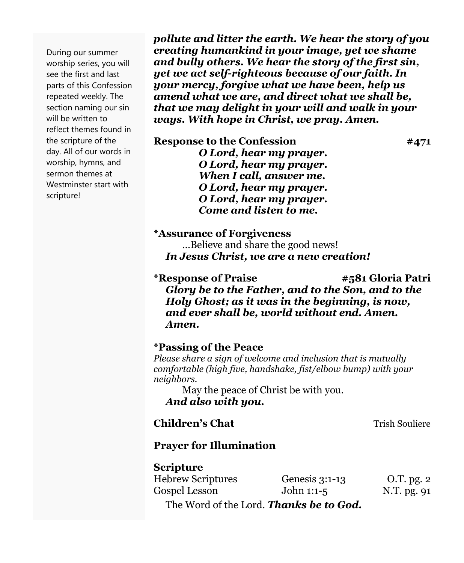During our summer worship series, you will see the first and last parts of this Confession repeated weekly. The section naming our sin will be written to reflect themes found in the scripture of the day. All of our words in worship, hymns, and sermon themes at Westminster start with scripture!

*pollute and litter the earth. We hear the story of you creating humankind in your image, yet we shame and bully others. We hear the story of the first sin, yet we act self-righteous because of our faith. In your mercy, forgive what we have been, help us amend what we are, and direct what we shall be, that we may delight in your will and walk in your ways. With hope in Christ, we pray. Amen.*

**Response to the Confession #471**

*O Lord, hear my prayer. O Lord, hear my prayer. When I call, answer me. O Lord, hear my prayer. O Lord, hear my prayer. Come and listen to me.*

**\*Assurance of Forgiveness**

…Believe and share the good news! *In Jesus Christ, we are a new creation!*

**\*Response of Praise #581 Gloria Patri** *Glory be to the Father, and to the Son, and to the Holy Ghost; as it was in the beginning, is now, and ever shall be, world without end. Amen. Amen.*

**\*Passing of the Peace**

*Please share a sign of welcome and inclusion that is mutually comfortable (high five, handshake, fist/elbow bump) with your neighbors.*

May the peace of Christ be with you. *And also with you.*

### **Children's Chat** Trish Souliere

## **Prayer for Illumination**

## **Scripture**

| <b>Hebrew Scriptures</b> | Genesis 3:1-13                                 | O.T. pg. 2  |
|--------------------------|------------------------------------------------|-------------|
| Gospel Lesson            | John 1:1-5                                     | N.T. pg. 91 |
|                          | The Word of the Lord. <b>Thanks be to God.</b> |             |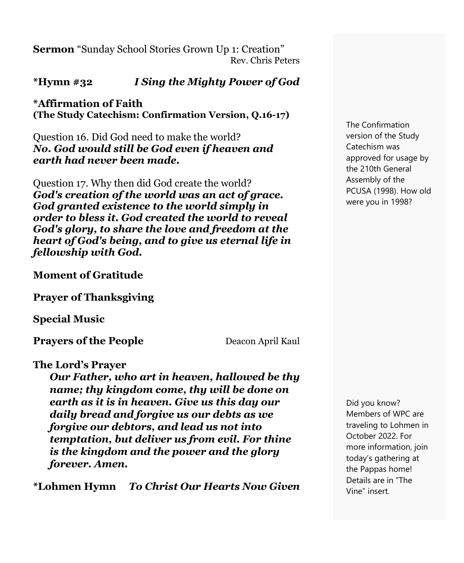**Sermon** "Sunday School Stories Grown Up 1: Creation" Rev. Chris Peters

## **\*Hymn #32** *I Sing the Mighty Power of God*

**\*Affirmation of Faith (The Study Catechism: Confirmation Version, Q.16-17)**

Question 16. Did God need to make the world? *No. God would still be God even if heaven and earth had never been made.*

Question 17. Why then did God create the world? *God's creation of the world was an act of grace. God granted existence to the world simply in order to bless it. God created the world to reveal God's glory, to share the love and freedom at the heart of God's being, and to give us eternal life in fellowship with God.*

#### **Moment of Gratitude**

**Prayer of Thanksgiving**

**Special Music**

**Prayers of the People** Deacon April Kaul

#### **The Lord's Prayer**

*Our Father, who art in heaven, hallowed be thy name; thy kingdom come, thy will be done on earth as it is in heaven. Give us this day our daily bread and forgive us our debts as we forgive our debtors, and lead us not into temptation, but deliver us from evil. For thine is the kingdom and the power and the glory forever. Amen.*

**\*Lohmen Hymn** *To Christ Our Hearts Now Given*

Did you know? Members of WPC are traveling to Lohmen in October 2022. For more information, join today's gathering at the Pappas home! Details are in "The

Vine" insert.

The Confirmation version of the Study Catechism was approved for usage by the 210th General Assembly of the PCUSA (1998). How old were you in 1998?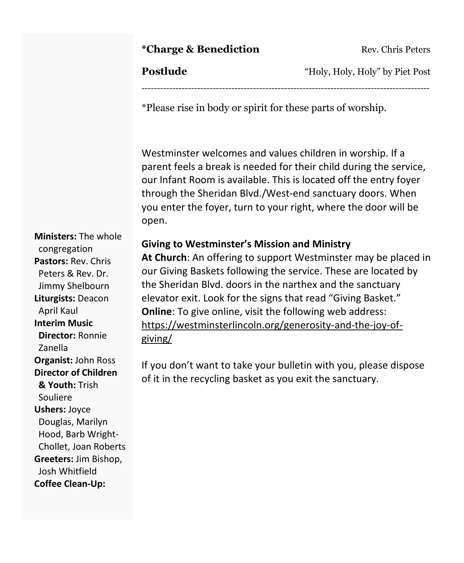### **\*Charge & Benediction** Rev. Chris Peters

**Postlude** "Holy, Holy, Holy" by Piet Post

\*Please rise in body or spirit for these parts of worship.

Westminster welcomes and values children in worship. If a parent feels a break is needed for their child during the service, our Infant Room is available. This is located off the entry foyer through the Sheridan Blvd./West-end sanctuary doors. When you enter the foyer, turn to your right, where the door will be open.

---------------------------------------------------------------------------------------------

### **Giving to Westminster's Mission and Ministry**

**At Church**: An offering to support Westminster may be placed in our Giving Baskets following the service. These are located by the Sheridan Blvd. doors in the narthex and the sanctuary elevator exit. Look for the signs that read "Giving Basket." **Online**: To give online, visit the following web address: [https://westminsterlincoln.org/generosity-and-the-joy-of](https://westminsterlincoln.org/generosity-and-the-joy-of-giving/)[giving/](https://westminsterlincoln.org/generosity-and-the-joy-of-giving/)

If you don't want to take your bulletin with you, please dispose of it in the recycling basket as you exit the sanctuary.

**Ministers:** The whole congregation **Pastors:** Rev. Chris Peters & Rev. Dr. Jimmy Shelbourn **Liturgists:** Deacon April Kaul **Interim Music Director:** Ronnie Zanella **Organist:** John Ross **Director of Children & Youth:** Trish Souliere **Ushers:** Joyce Douglas, Marilyn Hood, Barb Wright-Chollet, Joan Roberts **Greeters:** Jim Bishop, Josh Whitfield **Coffee Clean-Up:**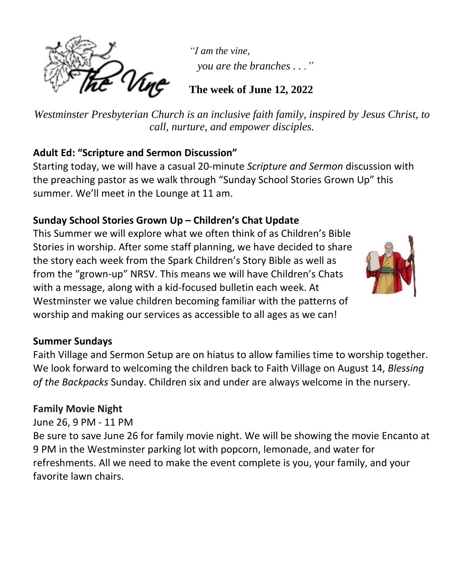

*"I am the vine, you are the branches . . ."*

# **The week of June 12, 2022**

*Westminster Presbyterian Church is an inclusive faith family, inspired by Jesus Christ, to call, nurture, and empower disciples.*

# **Adult Ed: "Scripture and Sermon Discussion"**

Starting today, we will have a casual 20-minute *Scripture and Sermon* discussion with the preaching pastor as we walk through "Sunday School Stories Grown Up" this summer. We'll meet in the Lounge at 11 am.

# **Sunday School Stories Grown Up – Children's Chat Update**

This Summer we will explore what we often think of as Children's Bible Stories in worship. After some staff planning, we have decided to share the story each week from the Spark Children's Story Bible as well as from the "grown-up" NRSV. This means we will have Children's Chats with a message, along with a kid-focused bulletin each week. At Westminster we value children becoming familiar with the patterns of worship and making our services as accessible to all ages as we can!



# **Summer Sundays**

Faith Village and Sermon Setup are on hiatus to allow families time to worship together. We look forward to welcoming the children back to Faith Village on August 14, *Blessing of the Backpacks* Sunday. Children six and under are always welcome in the nursery.

# **Family Movie Night**

June 26, 9 PM - 11 PM

Be sure to save June 26 for family movie night. We will be showing the movie Encanto at 9 PM in the Westminster parking lot with popcorn, lemonade, and water for refreshments. All we need to make the event complete is you, your family, and your favorite lawn chairs.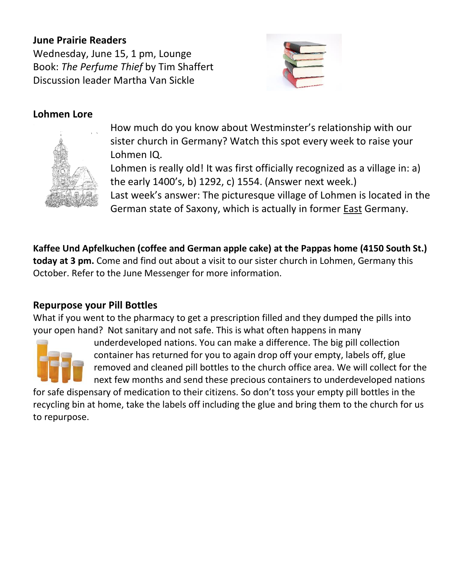### **June Prairie Readers**

Wednesday, June 15, 1 pm, Lounge Book: *The Perfume Thief* by Tim Shaffert Discussion leader Martha Van Sickle



### **Lohmen Lore**



How much do you know about Westminster's relationship with our sister church in Germany? Watch this spot every week to raise your Lohmen IQ.

Lohmen is really old! It was first officially recognized as a village in: a) the early 1400's, b) 1292, c) 1554. (Answer next week.) Last week's answer: The picturesque village of Lohmen is located in the German state of Saxony, which is actually in former East Germany.

**Kaffee Und Apfelkuchen (coffee and German apple cake) at the Pappas home (4150 South St.) today at 3 pm.** Come and find out about a visit to our sister church in Lohmen, Germany this October. Refer to the June Messenger for more information.

### **Repurpose your Pill Bottles**

What if you went to the pharmacy to get a prescription filled and they dumped the pills into your open hand? Not sanitary and not safe. This is what often happens in many



underdeveloped nations. You can make a difference. The big pill collection container has returned for you to again drop off your empty, labels off, glue removed and cleaned pill bottles to the church office area. We will collect for the next few months and send these precious containers to underdeveloped nations

for safe dispensary of medication to their citizens. So don't toss your empty pill bottles in the recycling bin at home, take the labels off including the glue and bring them to the church for us to repurpose.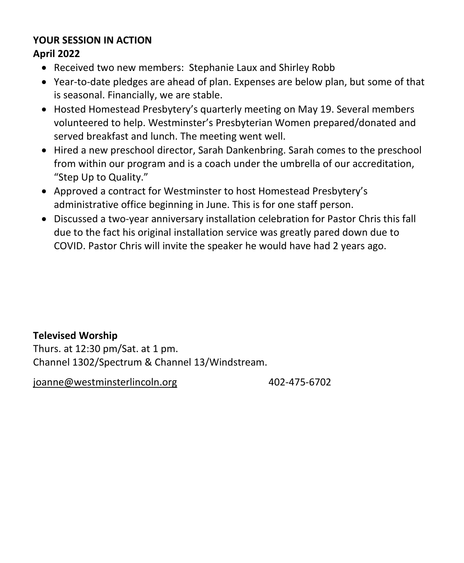# **YOUR SESSION IN ACTION**

## **April 2022**

- Received two new members: Stephanie Laux and Shirley Robb
- Year-to-date pledges are ahead of plan. Expenses are below plan, but some of that is seasonal. Financially, we are stable.
- Hosted Homestead Presbytery's quarterly meeting on May 19. Several members volunteered to help. Westminster's Presbyterian Women prepared/donated and served breakfast and lunch. The meeting went well.
- Hired a new preschool director, Sarah Dankenbring. Sarah comes to the preschool from within our program and is a coach under the umbrella of our accreditation, "Step Up to Quality."
- Approved a contract for Westminster to host Homestead Presbytery's administrative office beginning in June. This is for one staff person.
- Discussed a two-year anniversary installation celebration for Pastor Chris this fall due to the fact his original installation service was greatly pared down due to COVID. Pastor Chris will invite the speaker he would have had 2 years ago.

# **Televised Worship**

Thurs. at 12:30 pm/Sat. at 1 pm. Channel 1302/Spectrum & Channel 13/Windstream.

[joanne@westminsterlincoln.org](mailto:joanne@westminsterlincoln.org) 402-475-6702